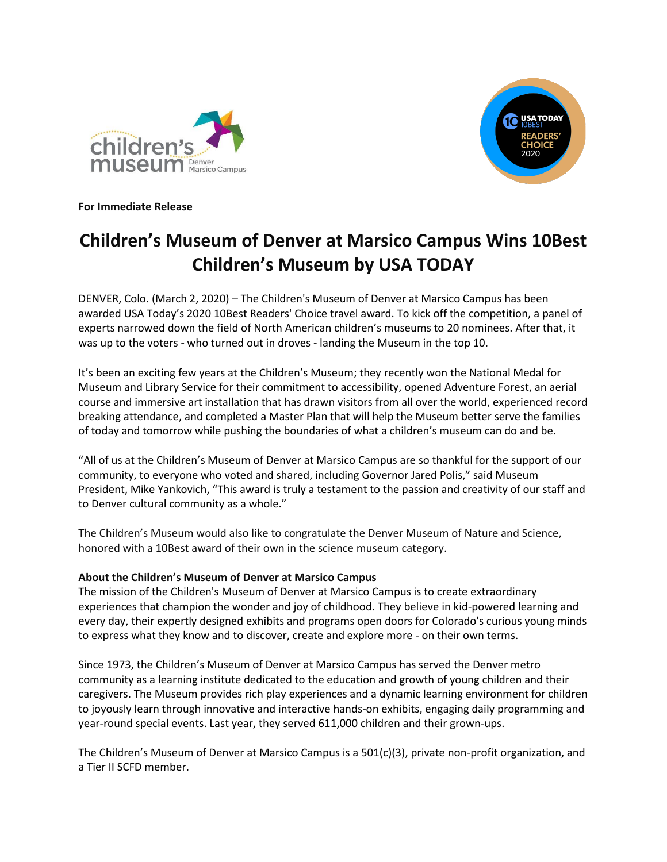



**For Immediate Release**

## **Children's Museum of Denver at Marsico Campus Wins 10Best Children's Museum by USA TODAY**

DENVER, Colo. (March 2, 2020) – The Children's Museum of Denver at Marsico Campus has been awarded USA Today's 2020 10Best Readers' Choice travel award. To kick off the competition, a panel of experts narrowed down the field of North American children's museums to 20 nominees. After that, it was up to the voters - who turned out in droves - landing the Museum in the top 10.

It's been an exciting few years at the Children's Museum; they recently won the National Medal for Museum and Library Service for their commitment to accessibility, opened Adventure Forest, an aerial course and immersive art installation that has drawn visitors from all over the world, experienced record breaking attendance, and completed a Master Plan that will help the Museum better serve the families of today and tomorrow while pushing the boundaries of what a children's museum can do and be.

"All of us at the Children's Museum of Denver at Marsico Campus are so thankful for the support of our community, to everyone who voted and shared, including Governor Jared Polis," said Museum President, Mike Yankovich, "This award is truly a testament to the passion and creativity of our staff and to Denver cultural community as a whole."

The Children's Museum would also like to congratulate the Denver Museum of Nature and Science, honored with a 10Best award of their own in the science museum category.

## **About the Children's Museum of Denver at Marsico Campus**

The mission of the Children's Museum of Denver at Marsico Campus is to create extraordinary experiences that champion the wonder and joy of childhood. They believe in kid-powered learning and every day, their expertly designed exhibits and programs open doors for Colorado's curious young minds to express what they know and to discover, create and explore more - on their own terms.

Since 1973, the Children's Museum of Denver at Marsico Campus has served the Denver metro community as a learning institute dedicated to the education and growth of young children and their caregivers. The Museum provides rich play experiences and a dynamic learning environment for children to joyously learn through innovative and interactive hands-on exhibits, engaging daily programming and year-round special events. Last year, they served 611,000 children and their grown-ups.

The Children's Museum of Denver at Marsico Campus is a 501(c)(3), private non-profit organization, and a Tier II SCFD member.